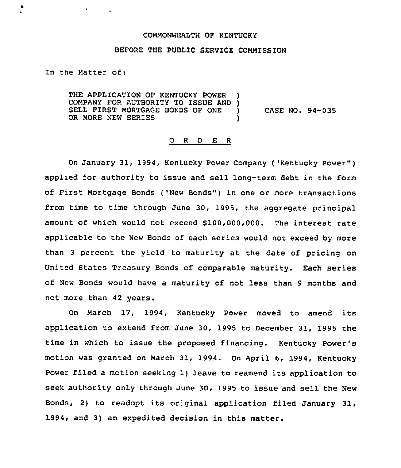## COMMONWEALTH OF KENTUCKY

## BEFORE THE PUBLIC SERVICE COMMISSION

In the Matter of:

 $\sigma_{\rm{max}}$  and  $\sigma_{\rm{max}}$ 

 $\bullet$ 

THE APPLICATION OF KENTUCKY POWER )<br>COMPANY FOR AUTHORITY TO ISSUE AND ) COMPANY FOR AUTHORITY TO ISSUE AND ) SELL FIRST MORTGAGE BONDS OF ONE OR MORE NEW SERIES CASE NO. 94-035

## 0 <sup>R</sup> <sup>D</sup> E <sup>R</sup>

On January 31, 1994, Kentucky Power Company ("Kentucky Power" ) applied for authority to issue and sell long-term debt in the form of First Mortgage Bonds ("New Bonds" ) in one or more transactions from time to time through June 30, 1995, the aggregate principal amount of which would not exceed \$100,000,000. The interest rate applicable to the New Bonds of each series would not exceed by more than 3 percent the yield to maturity at the date of pricing on United States Treasury Bonds of comparable maturity. Each series of New Bonds would have a maturity of not less than <sup>9</sup> months and not more than 42 years.

On March 17, 1994, Kentucky Power moved to amend its application to extend from June 30, 1995 to December 31, 1995 the time in which to issue the proposed financing. Kentucky Power's motion was granted on March 31, 1994. On April 6, 1994, Kentucky Power filed <sup>a</sup> motion seeking 1) leave to reamend its application to seek authority only through June 30, 1995 to issue and sell the New Bonds, 2) to readopt its original application filed January 31, 1994, and 3) an expedited decision in this matter.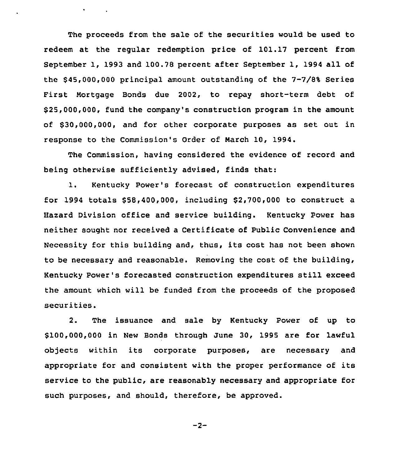The proceeds from the sale of the securities would be used to redeem at the regular redemption price of 101.17 percent from September 1, 1993 and 100.78 percent after September 1, 1994 all of the \$ 45,000,000 principal amount outstanding of the 7-7/8% Series First Mortgage Bonds due 2002, to repay short-term debt of \$ 25,000,000, fund the company's construction program in the amount of \$30,000,000, and for other corporate purposes as set out in response to the Commission's Order of March 10, 1994.

 $\bullet$  -  $\bullet$  -  $\bullet$  -  $\bullet$  -  $\bullet$  -  $\bullet$ 

The Commission, having considered the evidence of record and being otherwise sufficiently advised, finds that:

1. Kentucky Power's forecast of construction expenditures for 1994 totals  $$58,400,000$ , including  $$2,700,000$  to construct a Hazard Division office and service building. Kentucky Power has neither sought nor received a Certificate of Public Convenience and Necessity for this building and, thus, its cost has not been shown to be necessary and reasonable. Removing the cost of the building, Kentucky Power's forecasted construction expenditures still exceed the amount which will be funded from the proceeds of the proposed securities.

2. The issuance and sale by Kentucky Power of up to 8100,000,000 in New Bonds through June 30, 1995 are for lawful objects within its corporate purposes, are necessary and appropriate for and consistent with the proper performance of its service to the public, are reasonably necessary and appropriate for such purposes, and should, therefore, be approved.

$$
-2-
$$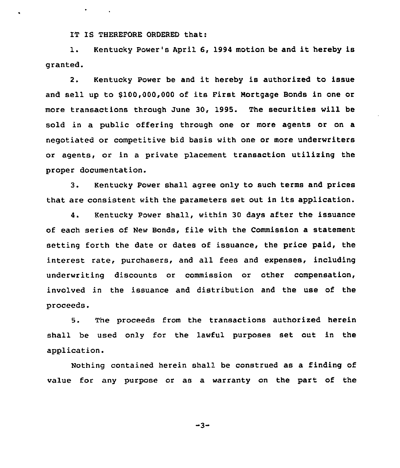IT IS THEREFORE ORDERED that:

 $\bullet$  -  $\bullet$  -  $\bullet$  -  $\bullet$  -  $\bullet$ 

1. Kentucky Power's April 6, <sup>1994</sup> motion be and it hereby is granted.

2. Kentucky Power be and it hereby is authorized to issue and sell up to 9100,000,000 of its First Mortgage Bonds in one or more transactions thxough June 30, 1995. The securities will be sold in a public offering through one or more agents or on a negotiated or competitive bid basis with one or more underwriters or agents, or in a private placement transaction utilizing the proper documentation.

3. Kentucky Power shall agree only to such terms and prices that are consistent with the parameters set out in its application.

4. Kentucky Power shall, within 30 days after the issuance of each series of New Bonds, file with the Commission a statement setting forth the date or dates of issuance, the pxice paid, the interest rate, purchasers, and all fees and expenses, including underwriting discounts or commission or other compensation, involved in the issuance and distribution and the use of the proceeds.

5. The proceeds from the transactions authorized herein shall be used only for the lawful purposes set out in the application.

Nothing contained herein shall be construed as a finding of value for any purpose or as a warranty on the part of the

$$
-3 -
$$